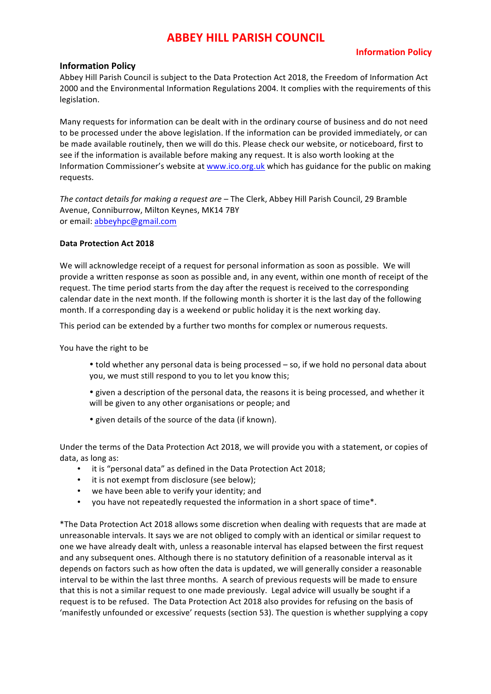## **Information Policy**

### **Information Policy**

Abbey Hill Parish Council is subject to the Data Protection Act 2018, the Freedom of Information Act 2000 and the Environmental Information Regulations 2004. It complies with the requirements of this legislation.

Many requests for information can be dealt with in the ordinary course of business and do not need to be processed under the above legislation. If the information can be provided immediately, or can be made available routinely, then we will do this. Please check our website, or noticeboard, first to see if the information is available before making any request. It is also worth looking at the Information Commissioner's website at www.ico.org.uk which has guidance for the public on making requests.

*The contact details for making a request are* – The Clerk, Abbey Hill Parish Council, 29 Bramble Avenue, Conniburrow, Milton Keynes, MK14 7BY or email: abbeyhpc@gmail.com

#### **Data Protection Act 2018**

We will acknowledge receipt of a request for personal information as soon as possible. We will provide a written response as soon as possible and, in any event, within one month of receipt of the request. The time period starts from the day after the request is received to the corresponding calendar date in the next month. If the following month is shorter it is the last day of the following month. If a corresponding day is a weekend or public holiday it is the next working day.

This period can be extended by a further two months for complex or numerous requests.

You have the right to be

- told whether any personal data is being processed so, if we hold no personal data about you, we must still respond to you to let you know this;
- given a description of the personal data, the reasons it is being processed, and whether it will be given to any other organisations or people; and
- given details of the source of the data (if known).

Under the terms of the Data Protection Act 2018, we will provide you with a statement, or copies of data, as long as:

- it is "personal data" as defined in the Data Protection Act 2018;
- it is not exempt from disclosure (see below);
- we have been able to verify your identity; and
- you have not repeatedly requested the information in a short space of time\*.

\*The Data Protection Act 2018 allows some discretion when dealing with requests that are made at unreasonable intervals. It says we are not obliged to comply with an identical or similar request to one we have already dealt with, unless a reasonable interval has elapsed between the first request and any subsequent ones. Although there is no statutory definition of a reasonable interval as it depends on factors such as how often the data is updated, we will generally consider a reasonable interval to be within the last three months. A search of previous requests will be made to ensure that this is not a similar request to one made previously. Legal advice will usually be sought if a request is to be refused. The Data Protection Act 2018 also provides for refusing on the basis of 'manifestly unfounded or excessive' requests (section 53). The question is whether supplying a copy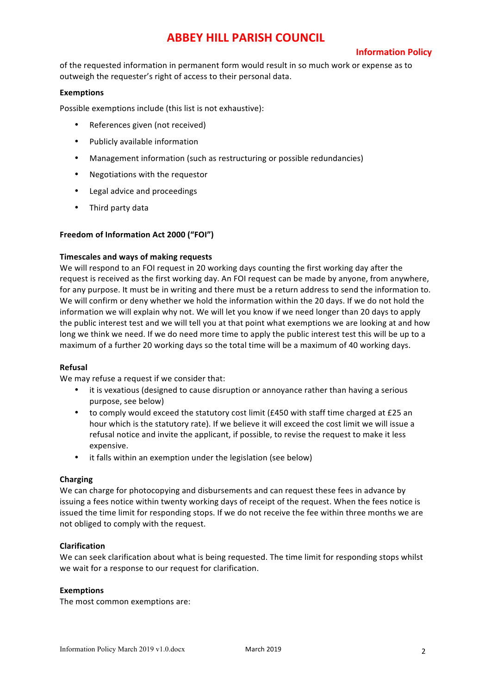## **Information Policy**

of the requested information in permanent form would result in so much work or expense as to outweigh the requester's right of access to their personal data.

### **Exemptions**

Possible exemptions include (this list is not exhaustive):

- References given (not received)
- Publicly available information
- Management information (such as restructuring or possible redundancies)
- Negotiations with the requestor
- Legal advice and proceedings
- Third party data

#### Freedom of Information Act 2000 ("FOI")

#### **Timescales and ways of making requests**

We will respond to an FOI request in 20 working days counting the first working day after the request is received as the first working day. An FOI request can be made by anyone, from anywhere, for any purpose. It must be in writing and there must be a return address to send the information to. We will confirm or deny whether we hold the information within the 20 days. If we do not hold the information we will explain why not. We will let you know if we need longer than 20 days to apply the public interest test and we will tell you at that point what exemptions we are looking at and how long we think we need. If we do need more time to apply the public interest test this will be up to a maximum of a further 20 working days so the total time will be a maximum of 40 working days.

#### **Refusal**

We may refuse a request if we consider that:

- it is vexatious (designed to cause disruption or annoyance rather than having a serious purpose, see below)
- to comply would exceed the statutory cost limit  $(E450$  with staff time charged at £25 an hour which is the statutory rate). If we believe it will exceed the cost limit we will issue a refusal notice and invite the applicant, if possible, to revise the request to make it less expensive.
- it falls within an exemption under the legislation (see below)

#### **Charging**

We can charge for photocopying and disbursements and can request these fees in advance by issuing a fees notice within twenty working days of receipt of the request. When the fees notice is issued the time limit for responding stops. If we do not receive the fee within three months we are not obliged to comply with the request.

#### **Clarification**

We can seek clarification about what is being requested. The time limit for responding stops whilst we wait for a response to our request for clarification.

#### **Exemptions**

The most common exemptions are: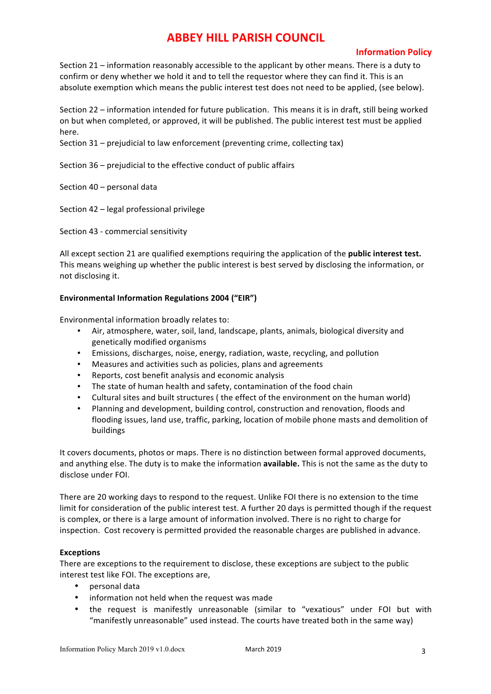## **Information Policy**

Section 21 – information reasonably accessible to the applicant by other means. There is a duty to confirm or deny whether we hold it and to tell the requestor where they can find it. This is an absolute exemption which means the public interest test does not need to be applied, (see below).

Section 22 – information intended for future publication. This means it is in draft, still being worked on but when completed, or approved, it will be published. The public interest test must be applied here.

Section  $31$  – prejudicial to law enforcement (preventing crime, collecting tax)

Section  $36$  – prejudicial to the effective conduct of public affairs

Section  $40$  – personal data

Section 42 - legal professional privilege

Section 43 - commercial sensitivity

All except section 21 are qualified exemptions requiring the application of the **public interest test.** This means weighing up whether the public interest is best served by disclosing the information, or not disclosing it.

### Environmental Information Regulations 2004 ("EIR")

Environmental information broadly relates to:

- Air, atmosphere, water, soil, land, landscape, plants, animals, biological diversity and genetically modified organisms
- Emissions, discharges, noise, energy, radiation, waste, recycling, and pollution
- Measures and activities such as policies, plans and agreements
- Reports, cost benefit analysis and economic analysis
- The state of human health and safety, contamination of the food chain
- Cultural sites and built structures ( the effect of the environment on the human world)
- Planning and development, building control, construction and renovation, floods and flooding issues, land use, traffic, parking, location of mobile phone masts and demolition of buildings

It covers documents, photos or maps. There is no distinction between formal approved documents, and anything else. The duty is to make the information **available.** This is not the same as the duty to disclose under FOI.

There are 20 working days to respond to the request. Unlike FOI there is no extension to the time limit for consideration of the public interest test. A further 20 days is permitted though if the request is complex, or there is a large amount of information involved. There is no right to charge for inspection. Cost recovery is permitted provided the reasonable charges are published in advance.

#### **Exceptions**

There are exceptions to the requirement to disclose, these exceptions are subject to the public interest test like FOI. The exceptions are,

- personal data
- information not held when the request was made
- the request is manifestly unreasonable (similar to "vexatious" under FOI but with "manifestly unreasonable" used instead. The courts have treated both in the same way)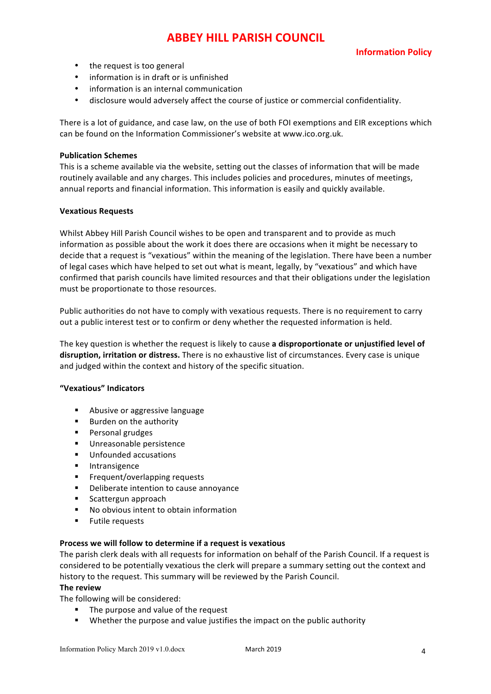## **Information Policy**

- $\bullet$  the request is too general
- information is in draft or is unfinished
- information is an internal communication
- disclosure would adversely affect the course of justice or commercial confidentiality.

There is a lot of guidance, and case law, on the use of both FOI exemptions and EIR exceptions which can be found on the Information Commissioner's website at www.ico.org.uk.

#### **Publication Schemes**

This is a scheme available via the website, setting out the classes of information that will be made routinely available and any charges. This includes policies and procedures, minutes of meetings, annual reports and financial information. This information is easily and quickly available.

#### **Vexatious Requests**

Whilst Abbey Hill Parish Council wishes to be open and transparent and to provide as much information as possible about the work it does there are occasions when it might be necessary to decide that a request is "vexatious" within the meaning of the legislation. There have been a number of legal cases which have helped to set out what is meant, legally, by "vexatious" and which have confirmed that parish councils have limited resources and that their obligations under the legislation must be proportionate to those resources.

Public authorities do not have to comply with vexatious requests. There is no requirement to carry out a public interest test or to confirm or deny whether the requested information is held.

The key question is whether the request is likely to cause a disproportionate or unjustified level of disruption, irritation or distress. There is no exhaustive list of circumstances. Every case is unique and judged within the context and history of the specific situation.

#### **"Vexatious" Indicators**

- Abusive or aggressive language
- Burden on the authority
- Personal grudges
- Unreasonable persistence
- Unfounded accusations
- § Intransigence
- Frequent/overlapping requests
- Deliberate intention to cause annoyance
- Scattergun approach
- No obvious intent to obtain information
- **■** Futile requests

#### **Process we will follow to determine if a request is vexatious**

The parish clerk deals with all requests for information on behalf of the Parish Council. If a request is considered to be potentially vexatious the clerk will prepare a summary setting out the context and history to the request. This summary will be reviewed by the Parish Council.

#### **The review**

The following will be considered:

- The purpose and value of the request
- Whether the purpose and value justifies the impact on the public authority